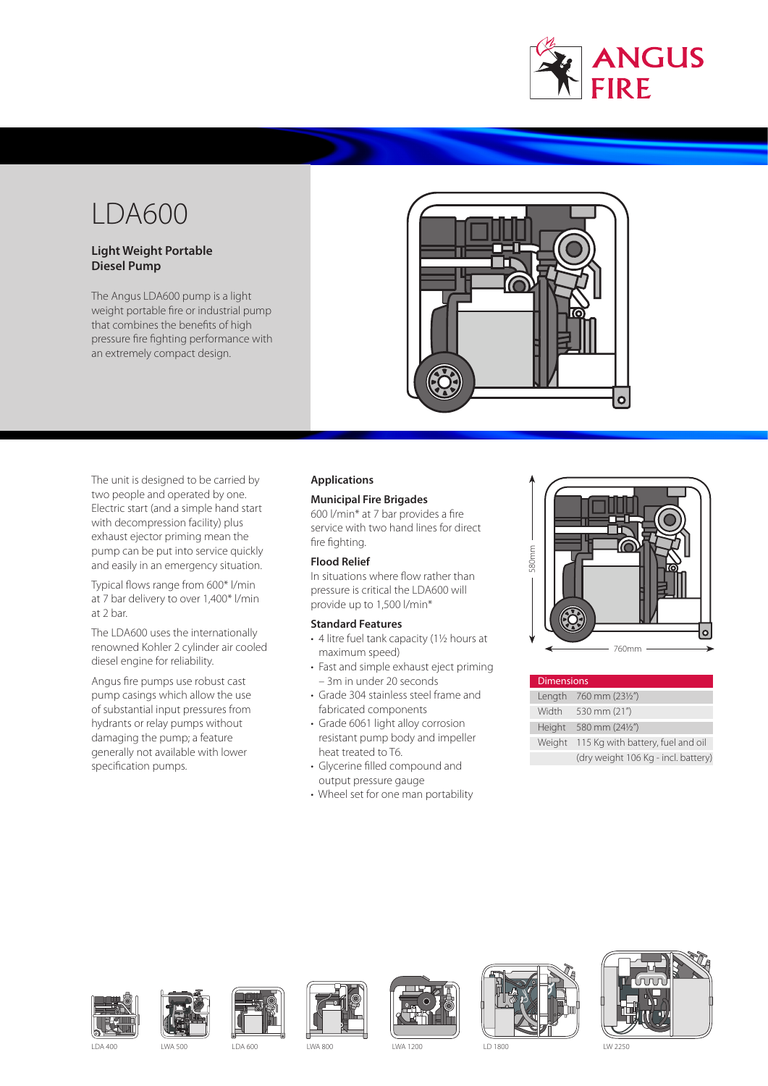

# LDA600

# **Light Weight Portable Diesel Pump**

The Angus LDA600 pump is a light weight portable fire or industrial pump that combines the benefits of high pressure fire fighting performance with an extremely compact design.



The unit is designed to be carried by two people and operated by one. Electric start (and a simple hand start with decompression facility) plus exhaust ejector priming mean the pump can be put into service quickly and easily in an emergency situation.

Typical flows range from 600\* l/min at 7 bar delivery to over 1,400\* l/min at 2 bar.

The LDA600 uses the internationally renowned Kohler 2 cylinder air cooled diesel engine for reliability.

Angus fire pumps use robust cast pump casings which allow the use of substantial input pressures from hydrants or relay pumps without damaging the pump; a feature generally not available with lower specification pumps.

# **Applications**

# **Municipal Fire Brigades**

600 l/min\* at 7 bar provides a fire service with two hand lines for direct fire fighting.

LD 600

# **Flood Relief**

In situations where flow rather than pressure is critical the LDA600 will provide up to 1,500 l/min\*

# **Standard Features**

- 4 litre fuel tank capacity (1½ hours at maximum speed)
- Fast and simple exhaust eject priming – 3m in under 20 seconds
- Grade 304 stainless steel frame and fabricated components
- Grade 6061 light alloy corrosion resistant pump body and impeller heat treated to T6.
- Glycerine filled compound and output pressure gauge
- Wheel set for one man portability



| <b>Dimensions</b> |                                     |  |
|-------------------|-------------------------------------|--|
|                   | Length 760 mm (231/2")              |  |
| Width             | 530 mm (21")                        |  |
| Height            | 580 mm (241/2")                     |  |
| Weight            | 115 Kg with battery, fuel and oil   |  |
|                   | (dry weight 106 Kg - incl. battery) |  |















LDA 400 LWA 500 LDA 600 LWA 800 LWA 1200 LD 1800 LW 2250